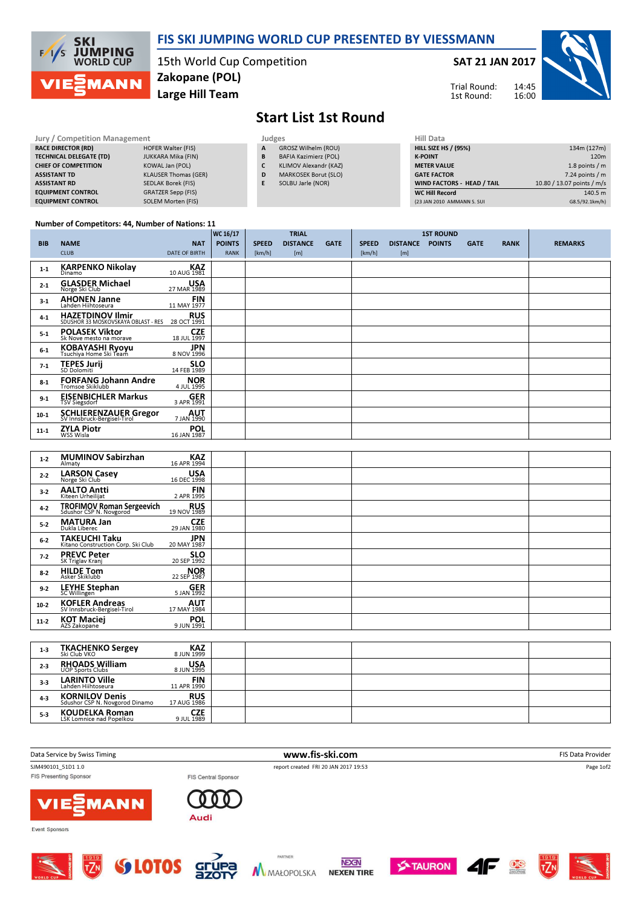

### FIS SKI JUMPING WORLD CUP PRESENTED BY VIESSMANN

15th World Cup Competition Large Hill Team Zakopane (POL)

#### SAT 21 JAN 2017



Trial Round: 1st Round:

# Start List 1st Round

| Jury / Competition Management  |                             | Judges |                              | <b>Hill Data</b>   |
|--------------------------------|-----------------------------|--------|------------------------------|--------------------|
| <b>RACE DIRECTOR (RD)</b>      | <b>HOFER Walter (FIS)</b>   | A      | <b>GROSZ Wilhelm (ROU)</b>   | <b>HILL SIZE H</b> |
| <b>TECHNICAL DELEGATE (TD)</b> | JUKKARA Mika (FIN)          | B      | <b>BAFIA Kazimierz (POL)</b> | <b>K-POINT</b>     |
| <b>CHIEF OF COMPETITION</b>    | KOWAL Jan (POL)             | C      | KLIMOV Alexandr (KAZ)        | <b>METER VAI</b>   |
| <b>ASSISTANT TD</b>            | <b>KLAUSER Thomas (GER)</b> | D      | <b>MARKOSEK Borut (SLO)</b>  | <b>GATE FACT</b>   |
| <b>ASSISTANT RD</b>            | SEDLAK Borek (FIS)          | Е      | SOLBU Jarle (NOR)            | <b>WIND FACT</b>   |
| <b>EQUIPMENT CONTROL</b>       | <b>GRATZER Sepp (FIS)</b>   |        |                              | WC Hill Re         |
| <b>EQUIPMENT CONTROL</b>       | <b>SOLEM Morten (FIS)</b>   |        |                              | (23 JAN 2010       |

| HIII Data                   |                            |
|-----------------------------|----------------------------|
| <b>HILL SIZE HS / (95%)</b> | 134m (127m)                |
| <b>K-POINT</b>              | 120 <sub>m</sub>           |
| <b>METER VALUE</b>          | 1.8 points $/m$            |
| <b>GATE FACTOR</b>          | $7.24$ points / m          |
| WIND FACTORS - HEAD / TAIL  | 10.80 / 13.07 points / m/s |
| <b>WC Hill Record</b>       | 140.5 m                    |
| (23 JAN 2010 AMMANN S. SUI  | G8.5/92.1km/h)             |

#### Number of Competitors: 44, Number of Nations: 11

|            |                                                                |                           | WC 16/17      |              | <b>TRIAL</b>    |             |              |                 | <b>1ST ROUND</b> |             |             |                |
|------------|----------------------------------------------------------------|---------------------------|---------------|--------------|-----------------|-------------|--------------|-----------------|------------------|-------------|-------------|----------------|
| <b>BIB</b> | <b>NAME</b>                                                    | <b>NAT</b>                | <b>POINTS</b> | <b>SPEED</b> | <b>DISTANCE</b> | <b>GATE</b> | <b>SPEED</b> | <b>DISTANCE</b> | <b>POINTS</b>    | <b>GATE</b> | <b>RANK</b> | <b>REMARKS</b> |
|            | <b>CLUB</b>                                                    | <b>DATE OF BIRTH</b>      | <b>RANK</b>   | [km/h]       | [m]             |             | [km/h]       | [m]             |                  |             |             |                |
| $1 - 1$    | <b>KARPENKO Nikolay</b><br>Dinamo                              | <b>KAZ</b><br>10 AUG 1981 |               |              |                 |             |              |                 |                  |             |             |                |
| $2 - 1$    | <b>GLASDER Michael</b><br>Norge Ski Club                       | <b>USA</b><br>27 MAR 1989 |               |              |                 |             |              |                 |                  |             |             |                |
| $3-1$      | <b>AHONEN Janne</b><br>Lahden Hiihtoseura                      | <b>FIN</b><br>11 MAY 1977 |               |              |                 |             |              |                 |                  |             |             |                |
| $4 - 1$    | <b>HAZETDINOV Ilmir</b><br>SDUSHOR 33 MOSKOVSKAYA OBLAST - RES | <b>RUS</b><br>28 OCT 1991 |               |              |                 |             |              |                 |                  |             |             |                |
| $5-1$      | <b>POLASEK Viktor</b><br>Sk Nove mesto na morave               | <b>CZE</b><br>18 JUL 1997 |               |              |                 |             |              |                 |                  |             |             |                |
| $6-1$      | KOBAYASHI Ryoyu<br>Tsuchiya Home Ski Team                      | <b>JPN</b><br>8 NOV 1996  |               |              |                 |             |              |                 |                  |             |             |                |
| $7-1$      | <b>TEPES Jurij</b><br>SD Dolomiti                              | <b>SLO</b><br>14 FEB 1989 |               |              |                 |             |              |                 |                  |             |             |                |
| $8 - 1$    | <b>FORFANG Johann Andre</b><br>Tromsoe Skiklubb                | <b>NOR</b><br>4 JUL 1995  |               |              |                 |             |              |                 |                  |             |             |                |
| $9 - 1$    | <b>EISENBICHLER Markus</b><br><b>TSV Siegsdorf</b>             | <b>GER</b><br>3 APR 1991  |               |              |                 |             |              |                 |                  |             |             |                |
| $10-1$     | <b>SCHLIERENZAUER Gregor</b><br>SV Innsbruck-Bergisel-Tirol    | <b>AUT</b><br>7 JAN 1990  |               |              |                 |             |              |                 |                  |             |             |                |
| $11 - 1$   | <b>ZYLA Piotr</b><br>WSS Wisla                                 | <b>POL</b><br>16 JAN 1987 |               |              |                 |             |              |                 |                  |             |             |                |

| $1 - 2$ | <b>MUMINOV Sabirzhan</b><br>Almaty                          | <b>KAZ</b><br>16 APR 1994 |  |  |  |  |  |
|---------|-------------------------------------------------------------|---------------------------|--|--|--|--|--|
| $2 - 2$ | <b>LARSON Casey</b><br>Norge Ski Club                       | <b>USA</b><br>16 DEC 1998 |  |  |  |  |  |
| $3 - 2$ | <b>AALTO Antti</b><br>Kiteen Urheilijat                     | <b>FIN</b><br>2 APR 1995  |  |  |  |  |  |
| $4 - 2$ | <b>TROFIMOV Roman Sergeevich</b><br>Sdushor CSP N. Novgorod | <b>RUS</b><br>19 NOV 1989 |  |  |  |  |  |
| $5 - 2$ | <b>MATURA Jan</b><br>Dukla Liberec                          | 29 JAN 1980               |  |  |  |  |  |
| $6-2$   | <b>TAKEUCHI Taku</b><br>Kitano Construction Corp. Ski Club  | <b>JPN</b><br>20 MAY 1987 |  |  |  |  |  |
| $7 - 2$ | <b>PREVC Peter</b><br>SK Triglav Kranj                      | <b>SLO</b><br>20 SEP 1992 |  |  |  |  |  |
| $8 - 2$ | <b>HILDE Tom</b><br>Asker Skiklubb                          | <b>NOR</b><br>22 SEP 1987 |  |  |  |  |  |
| $9 - 2$ | <b>LEYHE Stephan</b><br>SC Willingen                        | <b>GER</b><br>5 JAN 1992  |  |  |  |  |  |
| $10-2$  | <b>KOFLER Andreas</b><br>SV Innsbruck-Bergisel-Tirol        | <b>AUT</b><br>17 MAY 1984 |  |  |  |  |  |
| $11-2$  | <b>KOT Maciej</b><br>AZS Zakopane                           | <b>POL</b><br>9 JUN 1991  |  |  |  |  |  |
|         |                                                             |                           |  |  |  |  |  |
| $1 - 3$ | <b>TKACHENKO Sergey</b><br>Ski Club VKO                     | <b>KAZ</b><br>8 JUN 1999  |  |  |  |  |  |
| $2 - 3$ | <b>RHOADS William</b><br>UOP Sports Clubs                   | <b>USA</b><br>8 JUN 1995  |  |  |  |  |  |
| $3-3$   | <b>LARINTO Ville</b><br>Lahden Hiihtoseura                  | <b>FIN</b><br>11 APR 1990 |  |  |  |  |  |
| $4 - 3$ | <b>KORNILOV Denis</b><br>Sdushor CSP N. Novgorod Dinamo     | <b>RUS</b><br>17 AUG 1986 |  |  |  |  |  |

| Data Service by Swiss Timing                        | www.fis-ski.com                                             | FIS Data Provider                                        |  |  |
|-----------------------------------------------------|-------------------------------------------------------------|----------------------------------------------------------|--|--|
| SJM490101 51D1 1.0<br><b>FIS Presenting Sponsor</b> | report created FRI 20 JAN 2017 19:53<br>FIS Central Sponsor | Page 1of2                                                |  |  |
| <b>VIE MANN</b>                                     | Audi                                                        |                                                          |  |  |
| Event Sponsors                                      |                                                             |                                                          |  |  |
|                                                     | the property of the con-                                    | the contract of the contract of the contract of the con- |  |  |



5-3 **KOUDELKA Roman**<br>LSK Lomnice nad Popelkou



**CZE**<br>1989 JUL 1